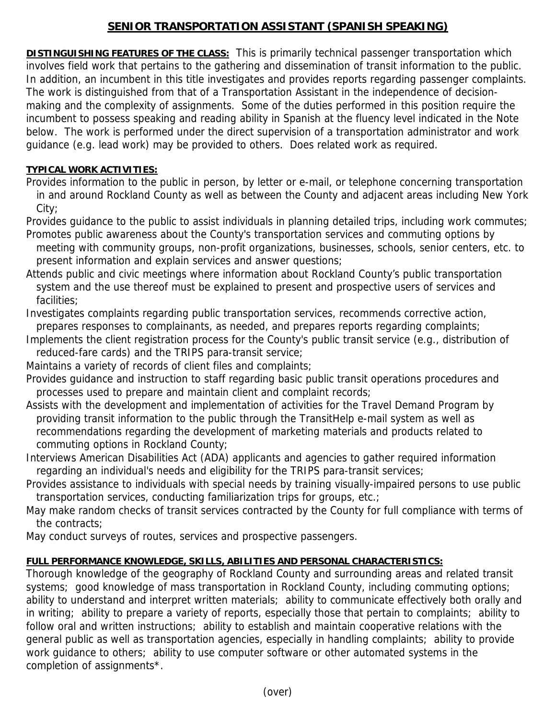## **SENIOR TRANSPORTATION ASSISTANT (SPANISH SPEAKING)**

**DISTINGUISHING FEATURES OF THE CLASS:** This is primarily technical passenger transportation which involves field work that pertains to the gathering and dissemination of transit information to the public. In addition, an incumbent in this title investigates and provides reports regarding passenger complaints. The work is distinguished from that of a Transportation Assistant in the independence of decisionmaking and the complexity of assignments. Some of the duties performed in this position require the incumbent to possess speaking and reading ability in Spanish at the fluency level indicated in the Note below. The work is performed under the direct supervision of a transportation administrator and work guidance (e.g. lead work) may be provided to others. Does related work as required.

## **TYPICAL WORK ACTIVITIES:**

Provides information to the public in person, by letter or e-mail, or telephone concerning transportation in and around Rockland County as well as between the County and adjacent areas including New York City;

Provides guidance to the public to assist individuals in planning detailed trips, including work commutes; Promotes public awareness about the County's transportation services and commuting options by

- meeting with community groups, non-profit organizations, businesses, schools, senior centers, etc. to present information and explain services and answer questions;
- Attends public and civic meetings where information about Rockland County's public transportation system and the use thereof must be explained to present and prospective users of services and facilities;
- Investigates complaints regarding public transportation services, recommends corrective action, prepares responses to complainants, as needed, and prepares reports regarding complaints;
- Implements the client registration process for the County's public transit service (e.g., distribution of reduced-fare cards) and the TRIPS para-transit service;

Maintains a variety of records of client files and complaints;

- Provides guidance and instruction to staff regarding basic public transit operations procedures and processes used to prepare and maintain client and complaint records;
- Assists with the development and implementation of activities for the Travel Demand Program by providing transit information to the public through the TransitHelp e-mail system as well as recommendations regarding the development of marketing materials and products related to commuting options in Rockland County;
- Interviews American Disabilities Act (ADA) applicants and agencies to gather required information regarding an individual's needs and eligibility for the TRIPS para-transit services;
- Provides assistance to individuals with special needs by training visually-impaired persons to use public transportation services, conducting familiarization trips for groups, etc.;
- May make random checks of transit services contracted by the County for full compliance with terms of the contracts;

May conduct surveys of routes, services and prospective passengers.

## **FULL PERFORMANCE KNOWLEDGE, SKILLS, ABILITIES AND PERSONAL CHARACTERISTICS:**

Thorough knowledge of the geography of Rockland County and surrounding areas and related transit systems; good knowledge of mass transportation in Rockland County, including commuting options; ability to understand and interpret written materials; ability to communicate effectively both orally and in writing; ability to prepare a variety of reports, especially those that pertain to complaints; ability to follow oral and written instructions; ability to establish and maintain cooperative relations with the general public as well as transportation agencies, especially in handling complaints; ability to provide work guidance to others; ability to use computer software or other automated systems in the completion of assignments\*.